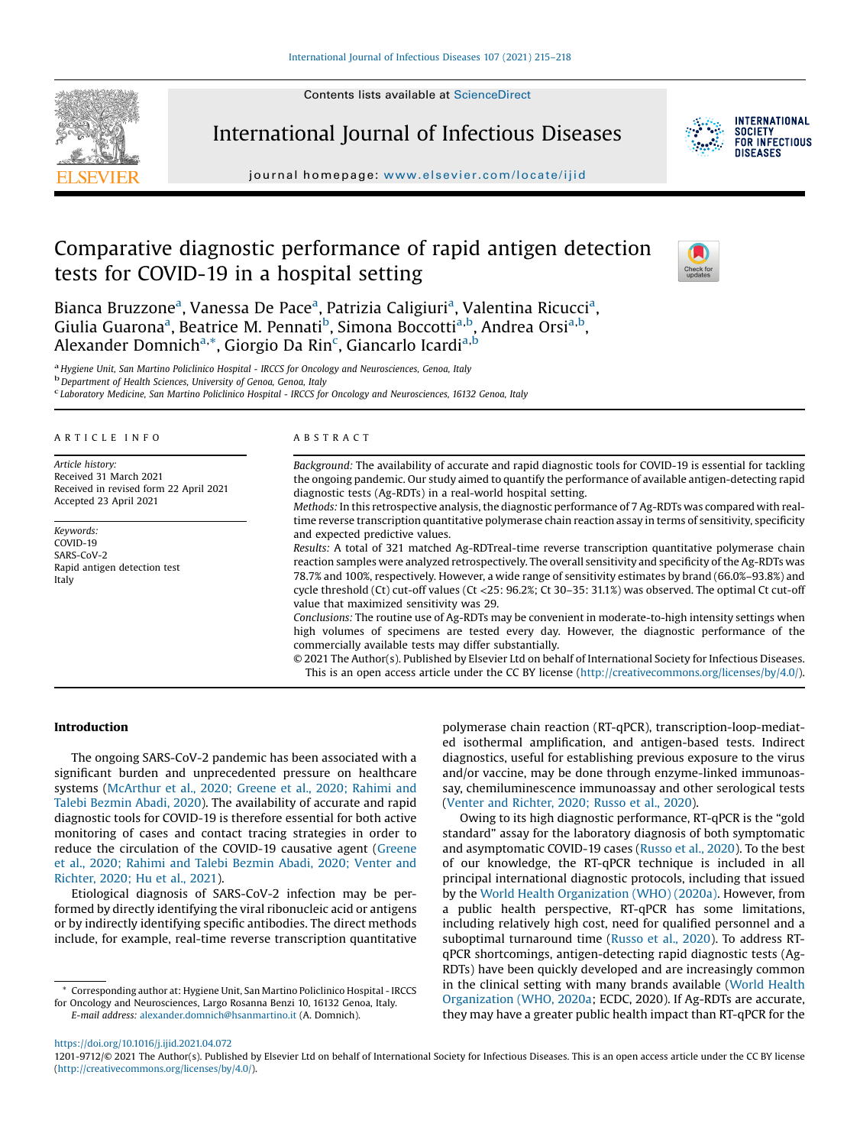Contents lists available at [ScienceDirect](http://www.sciencedirect.com/science/journal/12019712)



International Journal of Infectious Diseases



**INTERNATIONAL SOCIETY** FOR INFECTIOUS DISFASES

journal homepage: <www.elsevier.com/locate/ijid>

# Comparative diagnostic performance of rapid antigen detection tests for COVID-19 in a hospital setting



Bianca Bruzzone<sup>a</sup>, Vanessa De Pace<sup>a</sup>, Patrizia Caligiuri<sup>a</sup>, Valentina Ricucci<sup>a</sup>, Giulia Guarona<sup>a</sup>, Beatrice M. Pennati<sup>b</sup>, Simona Boccotti<sup>a,b</sup>, Andrea Orsi<sup>a,b</sup>, Alexander Domnich<sup>a,</sup>\*, Giorgio Da Rin<sup>c</sup>, Giancarlo Icardi<sup>a,b</sup>

<sup>a</sup> Hygiene Unit, San Martino Policlinico Hospital - IRCCS for Oncology and Neurosciences, Genoa, Italy b<br><sup>b</sup> Department of Health Sciences, University of Genoa, Genoa, Italy

Laboratory Medicine, San Martino Policlinico Hospital - IRCCS for Oncology and Neurosciences, 16132 Genoa, Italy

#### A R T I C L E I N F O

Article history: Received 31 March 2021 Received in revised form 22 April 2021 Accepted 23 April 2021

Keywords:  $COVID-19$ SARS-CoV-2 Rapid antigen detection test Italy

#### A B S T R A C T

Background: The availability of accurate and rapid diagnostic tools for COVID-19 is essential for tackling the ongoing pandemic. Our study aimed to quantify the performance of available antigen-detecting rapid diagnostic tests (Ag-RDTs) in a real-world hospital setting.

Methods: In this retrospective analysis, the diagnostic performance of 7 Ag-RDTs was compared with realtime reverse transcription quantitative polymerase chain reaction assay in terms of sensitivity, specificity and expected predictive values.

Results: A total of 321 matched Ag-RDTreal-time reverse transcription quantitative polymerase chain reaction samples were analyzed retrospectively. The overall sensitivity and specificity of the Ag-RDTs was 78.7% and 100%, respectively. However, a wide range of sensitivity estimates by brand (66.0%–93.8%) and cycle threshold (Ct) cut-off values (Ct <25: 96.2%; Ct 30–35: 31.1%) was observed. The optimal Ct cut-off value that maximized sensitivity was 29.

Conclusions: The routine use of Ag-RDTs may be convenient in moderate-to-high intensity settings when high volumes of specimens are tested every day. However, the diagnostic performance of the commercially available tests may differ substantially.

© 2021 The Author(s). Published by Elsevier Ltd on behalf of International Society for Infectious Diseases. This is an open access article under the CC BY license [\(http://creativecommons.org/licenses/by/4.0/](http://creativecommons.org/licenses/by/4.0/)).

# Introduction

The ongoing SARS-CoV-2 pandemic has been associated with a significant burden and unprecedented pressure on healthcare systems [\(McArthur](#page-3-0) et al., 2020; Greene et al., 2020; Rahimi and Talebi [Bezmin](#page-3-0) Abadi, 2020). The availability of accurate and rapid diagnostic tools for COVID-19 is therefore essential for both active monitoring of cases and contact tracing strategies in order to reduce the circulation of the COVID-19 causative agent [\(Greene](#page-3-0) et al., 2020; Rahimi and Talebi [Bezmin](#page-3-0) Abadi, 2020; Venter and [Richter,](#page-3-0) 2020; Hu et al., 2021).

Etiological diagnosis of SARS-CoV-2 infection may be performed by directly identifying the viral ribonucleic acid or antigens or by indirectly identifying specific antibodies. The direct methods include, for example, real-time reverse transcription quantitative

\* Corresponding author at: Hygiene Unit, San Martino Policlinico Hospital - IRCCS for Oncology and Neurosciences, Largo Rosanna Benzi 10, 16132 Genoa, Italy. E-mail address: [alexander.domnich@hsanmartino.it](mailto:alexander.domnich@hsanmartino.it) (A. Domnich).

polymerase chain reaction (RT-qPCR), transcription-loop-mediated isothermal amplification, and antigen-based tests. Indirect diagnostics, useful for establishing previous exposure to the virus and/or vaccine, may be done through enzyme-linked immunoassay, chemiluminescence immunoassay and other serological tests (Venter and [Richter,](#page-3-0) 2020; Russo et al., 2020).

Owing to its high diagnostic performance, RT-qPCR is the "gold standard" assay for the laboratory diagnosis of both symptomatic and asymptomatic COVID-19 cases ([Russo](#page-3-0) et al., 2020). To the best of our knowledge, the RT-qPCR technique is included in all principal international diagnostic protocols, including that issued by the World Health [Organization](#page-3-0) (WHO) (2020a). However, from a public health perspective, RT-qPCR has some limitations, including relatively high cost, need for qualified personnel and a suboptimal turnaround time [\(Russo](#page-3-0) et al., 2020). To address RTqPCR shortcomings, antigen-detecting rapid diagnostic tests (Ag-RDTs) have been quickly developed and are increasingly common in the clinical setting with many brands available (World [Health](#page-3-0) [Organization](#page-3-0) (WHO, 2020a; ECDC, 2020). If Ag-RDTs are accurate, they may have a greater public health impact than RT-qPCR for the

<https://doi.org/10.1016/j.ijid.2021.04.072>

1201-9712/© 2021 The Author(s). Published by Elsevier Ltd on behalf of International Society for Infectious Diseases. This is an open access article under the CC BY license [\(http://creativecommons.org/licenses/by/4.0/](http://creativecommons.org/licenses/by/4.0/)).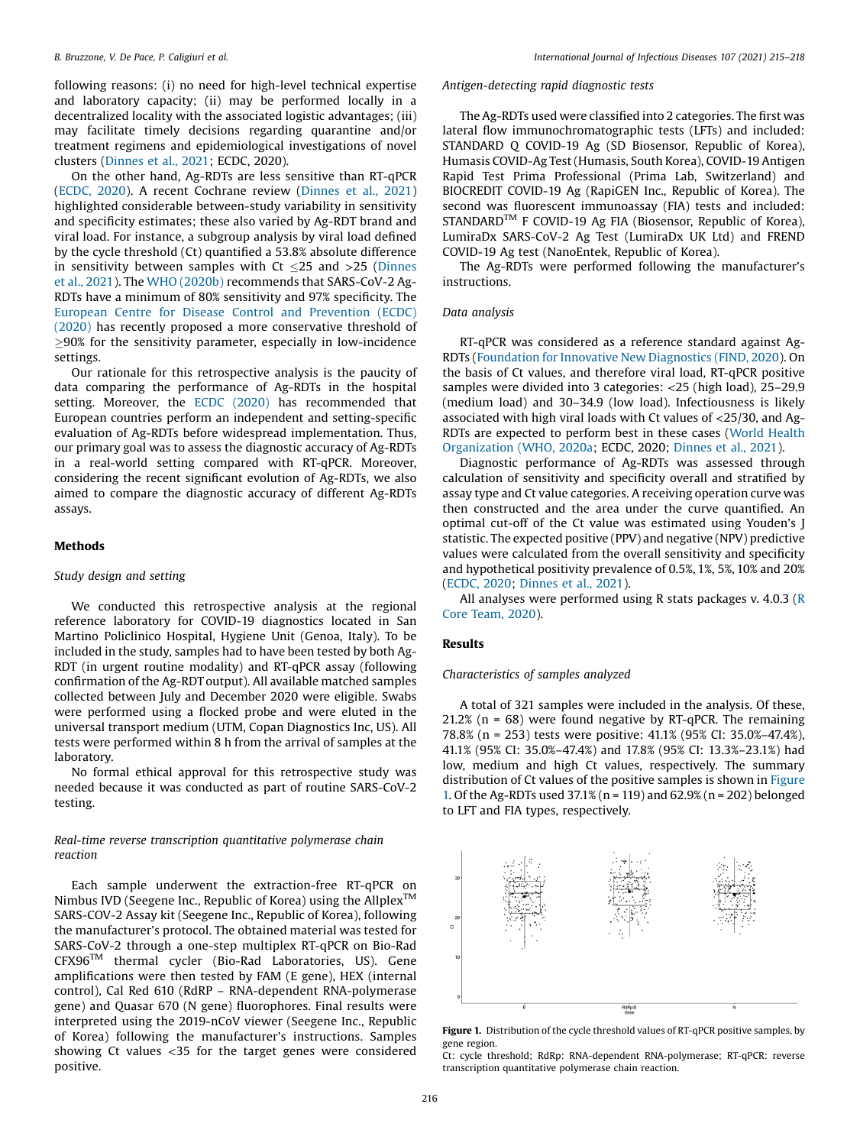following reasons: (i) no need for high-level technical expertise and laboratory capacity; (ii) may be performed locally in a decentralized locality with the associated logistic advantages; (iii) may facilitate timely decisions regarding quarantine and/or treatment regimens and epidemiological investigations of novel clusters [\(Dinnes](#page-3-0) et al., 2021; ECDC, 2020).

On the other hand, Ag-RDTs are less sensitive than RT-qPCR ([ECDC,](#page-3-0) 2020). A recent Cochrane review ([Dinnes](#page-3-0) et al., 2021) highlighted considerable between-study variability in sensitivity and specificity estimates; these also varied by Ag-RDT brand and viral load. For instance, a subgroup analysis by viral load defined by the cycle threshold (Ct) quantified a 53.8% absolute difference in sensitivity between samples with  $Ct < 25$  and  $>25$  ([Dinnes](#page-3-0) et al., [2021\)](#page-3-0). The WHO [\(2020b\)](#page-3-0) recommends that SARS-CoV-2 Ag-RDTs have a minimum of 80% sensitivity and 97% specificity. The European Centre for Disease Control and [Prevention](#page-3-0) (ECDC) [\(2020\)](#page-3-0) has recently proposed a more conservative threshold of  $\geq$ 90% for the sensitivity parameter, especially in low-incidence settings.

Our rationale for this retrospective analysis is the paucity of data comparing the performance of Ag-RDTs in the hospital setting. Moreover, the ECDC [\(2020\)](#page-3-0) has recommended that European countries perform an independent and setting-specific evaluation of Ag-RDTs before widespread implementation. Thus, our primary goal was to assess the diagnostic accuracy of Ag-RDTs in a real-world setting compared with RT-qPCR. Moreover, considering the recent significant evolution of Ag-RDTs, we also aimed to compare the diagnostic accuracy of different Ag-RDTs assays.

#### Methods

#### Study design and setting

We conducted this retrospective analysis at the regional reference laboratory for COVID-19 diagnostics located in San Martino Policlinico Hospital, Hygiene Unit (Genoa, Italy). To be included in the study, samples had to have been tested by both Ag-RDT (in urgent routine modality) and RT-qPCR assay (following confirmation of the Ag-RDT output). All available matched samples collected between July and December 2020 were eligible. Swabs were performed using a flocked probe and were eluted in the universal transport medium (UTM, Copan Diagnostics Inc, US). All tests were performed within 8 h from the arrival of samples at the laboratory.

No formal ethical approval for this retrospective study was needed because it was conducted as part of routine SARS-CoV-2 testing.

# Real-time reverse transcription quantitative polymerase chain reaction

Each sample underwent the extraction-free RT-qPCR on Nimbus IVD (Seegene Inc., Republic of Korea) using the Allplex™ SARS-COV-2 Assay kit (Seegene Inc., Republic of Korea), following the manufacturer's protocol. The obtained material was tested for SARS-CoV-2 through a one-step multiplex RT-qPCR on Bio-Rad CFX96TM thermal cycler (Bio-Rad Laboratories, US). Gene amplifications were then tested by FAM (E gene), HEX (internal control), Cal Red 610 (RdRP – RNA-dependent RNA-polymerase gene) and Quasar 670 (N gene) fluorophores. Final results were interpreted using the 2019-nCoV viewer (Seegene Inc., Republic of Korea) following the manufacturer's instructions. Samples showing Ct values <35 for the target genes were considered positive.

### Antigen-detecting rapid diagnostic tests

The Ag-RDTs used were classified into 2 categories. The first was lateral flow immunochromatographic tests (LFTs) and included: STANDARD Q COVID-19 Ag (SD Biosensor, Republic of Korea), Humasis COVID-Ag Test (Humasis, South Korea), COVID-19 Antigen Rapid Test Prima Professional (Prima Lab, Switzerland) and BIOCREDIT COVID-19 Ag (RapiGEN Inc., Republic of Korea). The second was fluorescent immunoassay (FIA) tests and included: STANDARD<sup>™</sup> F COVID-19 Ag FIA (Biosensor, Republic of Korea), LumiraDx SARS-CoV-2 Ag Test (LumiraDx UK Ltd) and FREND COVID-19 Ag test (NanoEntek, Republic of Korea).

The Ag-RDTs were performed following the manufacturer's instructions.

#### Data analysis

RT-qPCR was considered as a reference standard against Ag-RDTs [\(Foundation](#page-3-0) for Innovative New Diagnostics (FIND, 2020). On the basis of Ct values, and therefore viral load, RT-qPCR positive samples were divided into 3 categories: <25 (high load), 25–29.9 (medium load) and 30–34.9 (low load). Infectiousness is likely associated with high viral loads with Ct values of <25/30, and Ag-RDTs are expected to perform best in these cases (World [Health](#page-3-0) [Organization](#page-3-0) (WHO, 2020a; ECDC, 2020; [Dinnes](#page-3-0) et al., 2021).

Diagnostic performance of Ag-RDTs was assessed through calculation of sensitivity and specificity overall and stratified by assay type and Ct value categories. A receiving operation curve was then constructed and the area under the curve quantified. An optimal cut-off of the Ct value was estimated using Youden's J statistic. The expected positive (PPV) and negative (NPV) predictive values were calculated from the overall sensitivity and specificity and hypothetical positivity prevalence of 0.5%, 1%, 5%, 10% and 20% ([ECDC,](#page-3-0) 2020; [Dinnes](#page-3-0) et al., 2021).

All analyses were performed using R stats packages v. 4.0.3 ([R](#page-3-0) Core [Team,](#page-3-0) 2020).

#### Results

#### Characteristics of samples analyzed

A total of 321 samples were included in the analysis. Of these, 21.2% ( $n = 68$ ) were found negative by RT-qPCR. The remaining 78.8% (n = 253) tests were positive: 41.1% (95% CI: 35.0%–47.4%), 41.1% (95% CI: 35.0%–47.4%) and 17.8% (95% CI: 13.3%–23.1%) had low, medium and high Ct values, respectively. The summary distribution of Ct values of the positive samples is shown in Figure 1. Of the Ag-RDTs used 37.1% (n = 119) and 62.9% (n = 202) belonged to LFT and FIA types, respectively.



Figure 1. Distribution of the cycle threshold values of RT-qPCR positive samples, by gene region.

Ct: cycle threshold; RdRp: RNA-dependent RNA-polymerase; RT-qPCR: reverse transcription quantitative polymerase chain reaction.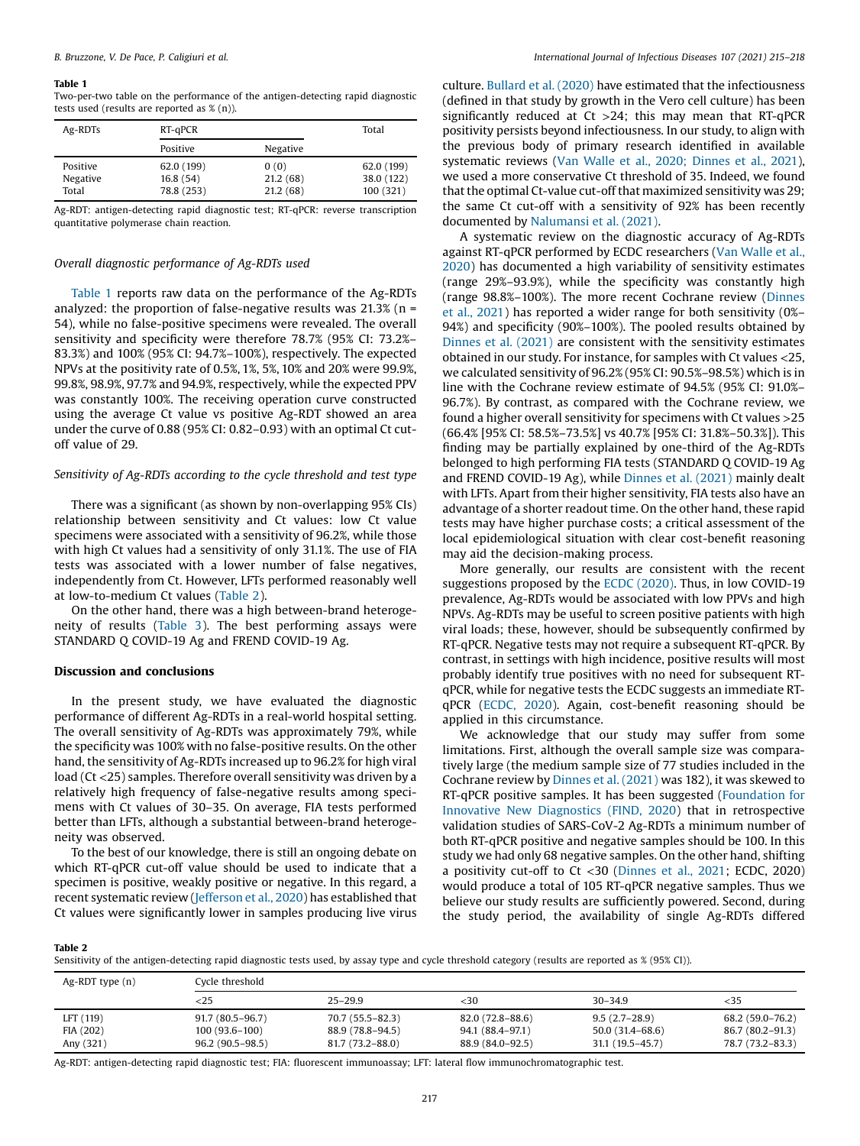#### Table 1

Two-per-two table on the performance of the antigen-detecting rapid diagnostic tests used (results are reported as % (n)).

| Ag-RDTs  | RT-qPCR    |          | Total      |
|----------|------------|----------|------------|
|          | Positive   | Negative |            |
| Positive | 62.0 (199) | 0(0)     | 62.0 (199) |
| Negative | 16.8(54)   | 21.2(68) | 38.0 (122) |
| Total    | 78.8 (253) | 21.2(68) | 100 (321)  |

Ag-RDT: antigen-detecting rapid diagnostic test; RT-qPCR: reverse transcription quantitative polymerase chain reaction.

#### Overall diagnostic performance of Ag-RDTs used

Table 1 reports raw data on the performance of the Ag-RDTs analyzed: the proportion of false-negative results was  $21.3\%$  (n = 54), while no false-positive specimens were revealed. The overall sensitivity and specificity were therefore 78.7% (95% CI: 73.2%– 83.3%) and 100% (95% CI: 94.7%–100%), respectively. The expected NPVs at the positivity rate of 0.5%, 1%, 5%, 10% and 20% were 99.9%, 99.8%, 98.9%, 97.7% and 94.9%, respectively, while the expected PPV was constantly 100%. The receiving operation curve constructed using the average Ct value vs positive Ag-RDT showed an area under the curve of 0.88 (95% CI: 0.82–0.93) with an optimal Ct cutoff value of 29.

#### Sensitivity of Ag-RDTs according to the cycle threshold and test type

There was a significant (as shown by non-overlapping 95% CIs) relationship between sensitivity and Ct values: low Ct value specimens were associated with a sensitivity of 96.2%, while those with high Ct values had a sensitivity of only 31.1%. The use of FIA tests was associated with a lower number of false negatives, independently from Ct. However, LFTs performed reasonably well at low-to-medium Ct values (Table 2).

On the other hand, there was a high between-brand heterogeneity of results [\(Table](#page-3-0) 3). The best performing assays were STANDARD Q COVID-19 Ag and FREND COVID-19 Ag.

#### Discussion and conclusions

In the present study, we have evaluated the diagnostic performance of different Ag-RDTs in a real-world hospital setting. The overall sensitivity of Ag-RDTs was approximately 79%, while the specificity was 100% with no false-positive results. On the other hand, the sensitivity of Ag-RDTs increased up to 96.2% for high viral load (Ct <25) samples. Therefore overall sensitivity was driven by a relatively high frequency of false-negative results among specimens with Ct values of 30–35. On average, FIA tests performed better than LFTs, although a substantial between-brand heterogeneity was observed.

To the best of our knowledge, there is still an ongoing debate on which RT-qPCR cut-off value should be used to indicate that a specimen is positive, weakly positive or negative. In this regard, a recent systematic review [\(Jefferson](#page-3-0) et al., 2020) has established that Ct values were significantly lower in samples producing live virus

culture. [Bullard](#page-3-0) et al. (2020) have estimated that the infectiousness (defined in that study by growth in the Vero cell culture) has been significantly reduced at  $Ct > 24$ ; this may mean that RT-qPCR positivity persists beyond infectiousness. In our study, to align with the previous body of primary research identified in available systematic reviews (Van Walle et al., 2020; [Dinnes](#page-3-0) et al., 2021), we used a more conservative Ct threshold of 35. Indeed, we found that the optimal Ct-value cut-off that maximized sensitivity was 29; the same Ct cut-off with a sensitivity of 92% has been recently documented by [Nalumansi](#page-3-0) et al. (2021).

A systematic review on the diagnostic accuracy of Ag-RDTs against RT-qPCR performed by ECDC researchers (Van [Walle](#page-3-0) et al., [2020](#page-3-0)) has documented a high variability of sensitivity estimates (range 29%–93.9%), while the specificity was constantly high (range 98.8%–100%). The more recent Cochrane review [\(Dinnes](#page-3-0) et al., [2021](#page-3-0)) has reported a wider range for both sensitivity (0%– 94%) and specificity (90%–100%). The pooled results obtained by [Dinnes](#page-3-0) et al. (2021) are consistent with the sensitivity estimates obtained in our study. For instance, for samples with Ct values <25, we calculated sensitivity of 96.2% (95% CI: 90.5%–98.5%) which is in line with the Cochrane review estimate of 94.5% (95% CI: 91.0%– 96.7%). By contrast, as compared with the Cochrane review, we found a higher overall sensitivity for specimens with Ct values >25 (66.4% [95% CI: 58.5%–73.5%] vs 40.7% [95% CI: 31.8%–50.3%]). This finding may be partially explained by one-third of the Ag-RDTs belonged to high performing FIA tests (STANDARD Q COVID-19 Ag and FREND COVID-19 Ag), while [Dinnes](#page-3-0) et al. (2021) mainly dealt with LFTs. Apart from their higher sensitivity, FIA tests also have an advantage of a shorter readout time. On the other hand, these rapid tests may have higher purchase costs; a critical assessment of the local epidemiological situation with clear cost-benefit reasoning may aid the decision-making process.

More generally, our results are consistent with the recent suggestions proposed by the ECDC [\(2020\).](#page-3-0) Thus, in low COVID-19 prevalence, Ag-RDTs would be associated with low PPVs and high NPVs. Ag-RDTs may be useful to screen positive patients with high viral loads; these, however, should be subsequently confirmed by RT-qPCR. Negative tests may not require a subsequent RT-qPCR. By contrast, in settings with high incidence, positive results will most probably identify true positives with no need for subsequent RTqPCR, while for negative tests the ECDC suggests an immediate RTqPCR [\(ECDC,](#page-3-0) 2020). Again, cost-benefit reasoning should be applied in this circumstance.

We acknowledge that our study may suffer from some limitations. First, although the overall sample size was comparatively large (the medium sample size of 77 studies included in the Cochrane review by [Dinnes](#page-3-0) et al. (2021) was 182), it was skewed to RT-qPCR positive samples. It has been suggested ([Foundation](#page-3-0) for Innovative New [Diagnostics](#page-3-0) (FIND, 2020) that in retrospective validation studies of SARS-CoV-2 Ag-RDTs a minimum number of both RT-qPCR positive and negative samples should be 100. In this study we had only 68 negative samples. On the other hand, shifting a positivity cut-off to Ct <30 [\(Dinnes](#page-3-0) et al., 2021; ECDC, 2020) would produce a total of 105 RT-qPCR negative samples. Thus we believe our study results are sufficiently powered. Second, during the study period, the availability of single Ag-RDTs differed

Table 2

Sensitivity of the antigen-detecting rapid diagnostic tests used, by assay type and cycle threshold category (results are reported as % (95% CI)).

| $Ag-RDT$ type $(n)$ | Cycle threshold   |                  |                  |                  |                  |  |
|---------------------|-------------------|------------------|------------------|------------------|------------------|--|
|                     | $<$ 25            | $25 - 29.9$      | <30              | $30 - 34.9$      | $<$ 35           |  |
| LFT (119)           | $91.7(80.5-96.7)$ | 70.7 (55.5–82.3) | 82.0 (72.8–88.6) | $9.5(2.7-28.9)$  | 68.2 (59.0–76.2) |  |
| FIA (202)           | $100(93.6-100)$   | 88.9 (78.8–94.5) | 94.1 (88.4–97.1) | 50.0 (31.4–68.6) | 86.7 (80.2–91.3) |  |
| Any (321)           | $96.2(90.5-98.5)$ | 81.7 (73.2–88.0) | 88.9 (84.0–92.5) | 31.1 (19.5–45.7) | 78.7 (73.2-83.3) |  |

Ag-RDT: antigen-detecting rapid diagnostic test; FIA: fluorescent immunoassay; LFT: lateral flow immunochromatographic test.